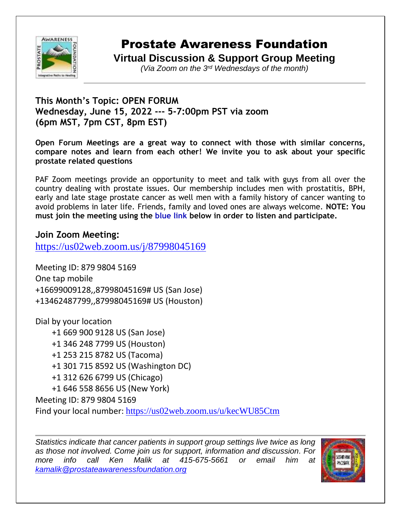

## Prostate Awareness Foundation

**Virtual Discussion & Support Group Meeting**

*(Via Zoom on the 3rd Wednesdays of the month)*

## **This Month's Topic: OPEN FORUM Wednesday, June 15, 2022 --- 5-7:00pm PST via zoom (6pm MST, 7pm CST, 8pm EST)**

**Open Forum Meetings are a great way to connect with those with similar concerns, compare notes and learn from each other! We invite you to ask about your specific prostate related questions**

PAF Zoom meetings provide an opportunity to meet and talk with guys from all over the country dealing with prostate issues. Our membership includes men with prostatitis, BPH, early and late stage prostate cancer as well men with a family history of cancer wanting to avoid problems in later life. Friends, family and loved ones are always welcome. **NOTE: You must join the meeting using the blue link below in order to listen and participate.**

## **Join Zoom Meeting:**

<https://us02web.zoom.us/j/87998045169>

Meeting ID: 879 9804 5169 One tap mobile +16699009128,,87998045169# US (San Jose) +13462487799,,87998045169# US (Houston)

Dial by your location +1 669 900 9128 US (San Jose) +1 346 248 7799 US (Houston) +1 253 215 8782 US (Tacoma) +1 301 715 8592 US (Washington DC)

+1 312 626 6799 US (Chicago)

+1 646 558 8656 US (New York)

Meeting ID: 879 9804 5169

Find your local number: <https://us02web.zoom.us/u/kecWU85Ctm>

*Statistics indicate that cancer patients in support group settings live twice as long as those not involved. Come join us for support, information and discussion. For more info call Ken Malik at 415-675-5661 or email him at [kamalik@prostateawarenessfoundation.org](mailto:kamalik@prostateawarenessfoundation.org)*